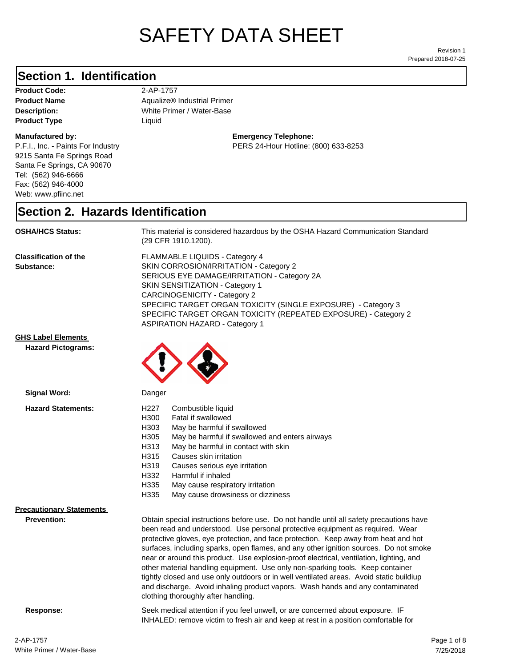# SAFETY DATA SHEET

Prepared 2018-07-25 Revision 1

#### **Section 1. Identification**

**Product Code:** 2-AP-1757 **Product Type Liquid Liquid** 

#### **Manufactured by:**

P.F.I., Inc. - Paints For Industry 9215 Santa Fe Springs Road Santa Fe Springs, CA 90670 Tel: (562) 946-6666 Fax: (562) 946-4000 Web: www.pfiinc.net

**Description:** White Primer / Water-Base **Product Name Aqualize® Industrial Primer** 

> **Emergency Telephone:** PERS 24-Hour Hotline: (800) 633-8253

#### **Section 2. Hazards Identification**

#### **OSHA/HCS Status:** This material is considered hazardous by the OSHA Hazard Communication Standard

(29 CFR 1910.1200).

**Classification of the Substance:**

FLAMMABLE LIQUIDS - Category 4 SKIN CORROSION/IRRITATION - Category 2 SERIOUS EYE DAMAGE/IRRITATION - Category 2A SKIN SENSITIZATION - Category 1 CARCINOGENICITY - Category 2 SPECIFIC TARGET ORGAN TOXICITY (SINGLE EXPOSURE) - Category 3 SPECIFIC TARGET ORGAN TOXICITY (REPEATED EXPOSURE) - Category 2 ASPIRATION HAZARD - Category 1

INHALED: remove victim to fresh air and keep at rest in a position comfortable for

**GHS Label Elements**

**Hazard Pictograms:**



| Signal Word:                                          | Danger                                                                                                                                                                                                                                                                                                                                                                                                                                                                                                                                                                                                                                                                                                            |  |
|-------------------------------------------------------|-------------------------------------------------------------------------------------------------------------------------------------------------------------------------------------------------------------------------------------------------------------------------------------------------------------------------------------------------------------------------------------------------------------------------------------------------------------------------------------------------------------------------------------------------------------------------------------------------------------------------------------------------------------------------------------------------------------------|--|
| <b>Hazard Statements:</b>                             | Combustible liquid<br>H227<br>H300<br>Fatal if swallowed<br>H303<br>May be harmful if swallowed<br>H305<br>May be harmful if swallowed and enters airways<br>May be harmful in contact with skin<br>H313<br>H315<br>Causes skin irritation<br>H319<br>Causes serious eye irritation<br>H332<br>Harmful if inhaled<br>H335<br>May cause respiratory irritation<br>H335<br>May cause drowsiness or dizziness                                                                                                                                                                                                                                                                                                        |  |
| <b>Precautionary Statements</b><br><b>Prevention:</b> | Obtain special instructions before use. Do not handle until all safety precautions have<br>been read and understood. Use personal protective equipment as required. Wear<br>protective gloves, eye protection, and face protection. Keep away from heat and hot<br>surfaces, including sparks, open flames, and any other ignition sources. Do not smoke<br>near or around this product. Use explosion-proof electrical, ventilation, lighting, and<br>other material handling equipment. Use only non-sparking tools. Keep container<br>tightly closed and use only outdoors or in well ventilated areas. Avoid static buildiup<br>and discharge. Avoid inhaling product vapors. Wash hands and any contaminated |  |

clothing thoroughly after handling.

**Response:** Seek medical attention if you feel unwell, or are concerned about exposure. IF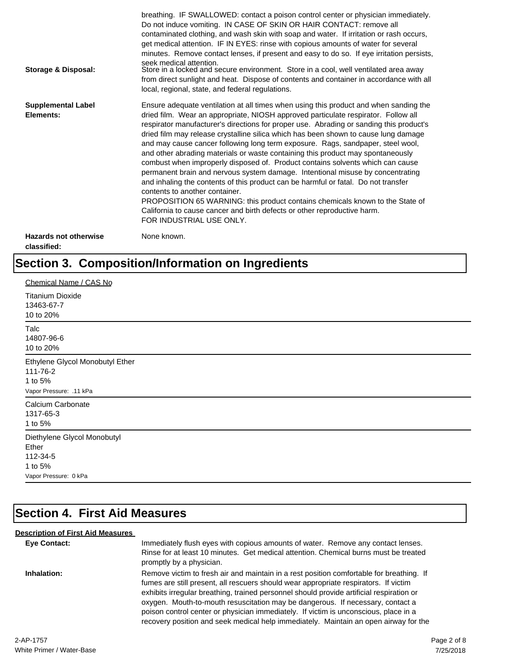| Storage & Disposal:                         | breathing. IF SWALLOWED: contact a poison control center or physician immediately.<br>Do not induce vomiting. IN CASE OF SKIN OR HAIR CONTACT: remove all<br>contaminated clothing, and wash skin with soap and water. If irritation or rash occurs,<br>get medical attention. IF IN EYES: rinse with copious amounts of water for several<br>minutes. Remove contact lenses, if present and easy to do so. If eye irritation persists,<br>seek medical attention.<br>Store in a locked and secure environment. Store in a cool, well ventilated area away<br>from direct sunlight and heat. Dispose of contents and container in accordance with all<br>local, regional, state, and federal regulations.                                                                                                                                                                                                                                                                                                                |
|---------------------------------------------|--------------------------------------------------------------------------------------------------------------------------------------------------------------------------------------------------------------------------------------------------------------------------------------------------------------------------------------------------------------------------------------------------------------------------------------------------------------------------------------------------------------------------------------------------------------------------------------------------------------------------------------------------------------------------------------------------------------------------------------------------------------------------------------------------------------------------------------------------------------------------------------------------------------------------------------------------------------------------------------------------------------------------|
| <b>Supplemental Label</b><br>Elements:      | Ensure adequate ventilation at all times when using this product and when sanding the<br>dried film. Wear an appropriate, NIOSH approved particulate respirator. Follow all<br>respirator manufacturer's directions for proper use. Abrading or sanding this product's<br>dried film may release crystalline silica which has been shown to cause lung damage<br>and may cause cancer following long term exposure. Rags, sandpaper, steel wool,<br>and other abrading materials or waste containing this product may spontaneously<br>combust when improperly disposed of. Product contains solvents which can cause<br>permanent brain and nervous system damage. Intentional misuse by concentrating<br>and inhaling the contents of this product can be harmful or fatal. Do not transfer<br>contents to another container.<br>PROPOSITION 65 WARNING: this product contains chemicals known to the State of<br>California to cause cancer and birth defects or other reproductive harm.<br>FOR INDUSTRIAL USE ONLY. |
| <b>Hazards not otherwise</b><br>classified: | None known.                                                                                                                                                                                                                                                                                                                                                                                                                                                                                                                                                                                                                                                                                                                                                                                                                                                                                                                                                                                                              |

## **Section 3. Composition/Information on Ingredients**

| Chemical Name / CAS No                                                               |
|--------------------------------------------------------------------------------------|
| <b>Titanium Dioxide</b><br>13463-67-7<br>10 to 20%                                   |
| Talc<br>14807-96-6<br>10 to 20%                                                      |
| Ethylene Glycol Monobutyl Ether<br>111-76-2<br>1 to 5%<br>Vapor Pressure: .11 kPa    |
| Calcium Carbonate<br>1317-65-3<br>1 to 5%                                            |
| Diethylene Glycol Monobutyl<br>Ether<br>112-34-5<br>1 to 5%<br>Vapor Pressure: 0 kPa |

## **Section 4. First Aid Measures**

#### **Description of First Aid Measures**

| <b>Eye Contact:</b> | Immediately flush eyes with copious amounts of water. Remove any contact lenses.<br>Rinse for at least 10 minutes. Get medical attention. Chemical burns must be treated<br>promptly by a physician.                                                                                                                                                                                                                                                                                                                                           |
|---------------------|------------------------------------------------------------------------------------------------------------------------------------------------------------------------------------------------------------------------------------------------------------------------------------------------------------------------------------------------------------------------------------------------------------------------------------------------------------------------------------------------------------------------------------------------|
| Inhalation:         | Remove victim to fresh air and maintain in a rest position comfortable for breathing. If<br>fumes are still present, all rescuers should wear appropriate respirators. If victim<br>exhibits irregular breathing, trained personnel should provide artificial respiration or<br>oxygen. Mouth-to-mouth resuscitation may be dangerous. If necessary, contact a<br>poison control center or physician immediately. If victim is unconscious, place in a<br>recovery position and seek medical help immediately. Maintain an open airway for the |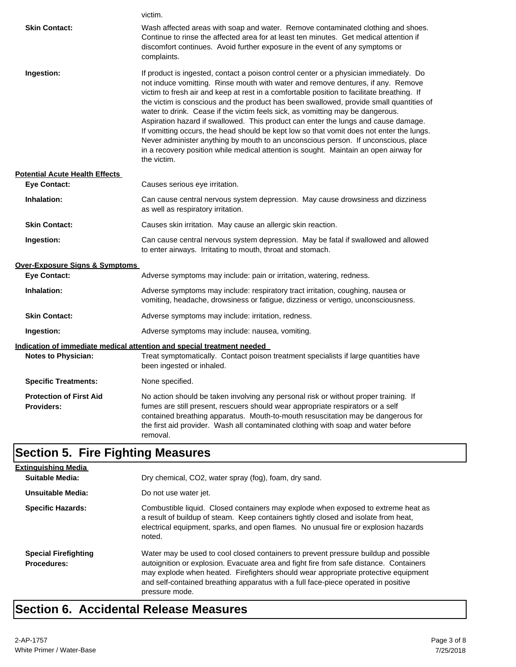|                                                     | victim.                                                                                                                                                                                                                                                                                                                                                                                                                                                                                                                                                                                                                                                                                                                                                                                                                               |  |
|-----------------------------------------------------|---------------------------------------------------------------------------------------------------------------------------------------------------------------------------------------------------------------------------------------------------------------------------------------------------------------------------------------------------------------------------------------------------------------------------------------------------------------------------------------------------------------------------------------------------------------------------------------------------------------------------------------------------------------------------------------------------------------------------------------------------------------------------------------------------------------------------------------|--|
| <b>Skin Contact:</b>                                | Wash affected areas with soap and water. Remove contaminated clothing and shoes.<br>Continue to rinse the affected area for at least ten minutes. Get medical attention if<br>discomfort continues. Avoid further exposure in the event of any symptoms or<br>complaints.                                                                                                                                                                                                                                                                                                                                                                                                                                                                                                                                                             |  |
| Ingestion:                                          | If product is ingested, contact a poison control center or a physician immediately. Do<br>not induce vomitting. Rinse mouth with water and remove dentures, if any. Remove<br>victim to fresh air and keep at rest in a comfortable position to facilitate breathing. If<br>the victim is conscious and the product has been swallowed, provide small quantities of<br>water to drink. Cease if the victim feels sick, as vomitting may be dangerous.<br>Aspiration hazard if swallowed. This product can enter the lungs and cause damage.<br>If vomitting occurs, the head should be kept low so that vomit does not enter the lungs.<br>Never administer anything by mouth to an unconscious person. If unconscious, place<br>in a recovery position while medical attention is sought. Maintain an open airway for<br>the victim. |  |
| <b>Potential Acute Health Effects</b>               |                                                                                                                                                                                                                                                                                                                                                                                                                                                                                                                                                                                                                                                                                                                                                                                                                                       |  |
| <b>Eye Contact:</b>                                 | Causes serious eye irritation.                                                                                                                                                                                                                                                                                                                                                                                                                                                                                                                                                                                                                                                                                                                                                                                                        |  |
| Inhalation:                                         | Can cause central nervous system depression. May cause drowsiness and dizziness<br>as well as respiratory irritation.                                                                                                                                                                                                                                                                                                                                                                                                                                                                                                                                                                                                                                                                                                                 |  |
| <b>Skin Contact:</b>                                | Causes skin irritation. May cause an allergic skin reaction.                                                                                                                                                                                                                                                                                                                                                                                                                                                                                                                                                                                                                                                                                                                                                                          |  |
| Ingestion:                                          | Can cause central nervous system depression. May be fatal if swallowed and allowed<br>to enter airways. Irritating to mouth, throat and stomach.                                                                                                                                                                                                                                                                                                                                                                                                                                                                                                                                                                                                                                                                                      |  |
| <b>Over-Exposure Signs &amp; Symptoms</b>           |                                                                                                                                                                                                                                                                                                                                                                                                                                                                                                                                                                                                                                                                                                                                                                                                                                       |  |
| <b>Eye Contact:</b>                                 | Adverse symptoms may include: pain or irritation, watering, redness.                                                                                                                                                                                                                                                                                                                                                                                                                                                                                                                                                                                                                                                                                                                                                                  |  |
| Inhalation:                                         | Adverse symptoms may include: respiratory tract irritation, coughing, nausea or<br>vomiting, headache, drowsiness or fatigue, dizziness or vertigo, unconsciousness.                                                                                                                                                                                                                                                                                                                                                                                                                                                                                                                                                                                                                                                                  |  |
| <b>Skin Contact:</b>                                | Adverse symptoms may include: irritation, redness.                                                                                                                                                                                                                                                                                                                                                                                                                                                                                                                                                                                                                                                                                                                                                                                    |  |
| Ingestion:                                          | Adverse symptoms may include: nausea, vomiting.                                                                                                                                                                                                                                                                                                                                                                                                                                                                                                                                                                                                                                                                                                                                                                                       |  |
|                                                     | Indication of immediate medical attention and special treatment needed                                                                                                                                                                                                                                                                                                                                                                                                                                                                                                                                                                                                                                                                                                                                                                |  |
| <b>Notes to Physician:</b>                          | Treat symptomatically. Contact poison treatment specialists if large quantities have<br>been ingested or inhaled.                                                                                                                                                                                                                                                                                                                                                                                                                                                                                                                                                                                                                                                                                                                     |  |
| <b>Specific Treatments:</b>                         | None specified.                                                                                                                                                                                                                                                                                                                                                                                                                                                                                                                                                                                                                                                                                                                                                                                                                       |  |
| <b>Protection of First Aid</b><br><b>Providers:</b> | No action should be taken involving any personal risk or without proper training. If<br>fumes are still present, rescuers should wear appropriate respirators or a self<br>contained breathing apparatus. Mouth-to-mouth resuscitation may be dangerous for<br>the first aid provider. Wash all contaminated clothing with soap and water before<br>removal.                                                                                                                                                                                                                                                                                                                                                                                                                                                                          |  |

## **Section 5. Fire Fighting Measures**

| <b>Extinguishing Media</b>                        |                                                                                                                                                                                                                                                                                                                                                                              |
|---------------------------------------------------|------------------------------------------------------------------------------------------------------------------------------------------------------------------------------------------------------------------------------------------------------------------------------------------------------------------------------------------------------------------------------|
| <b>Suitable Media:</b>                            | Dry chemical, CO2, water spray (fog), foam, dry sand.                                                                                                                                                                                                                                                                                                                        |
| Unsuitable Media:                                 | Do not use water jet.                                                                                                                                                                                                                                                                                                                                                        |
| <b>Specific Hazards:</b>                          | Combustible liquid. Closed containers may explode when exposed to extreme heat as<br>a result of buildup of steam. Keep containers tightly closed and isolate from heat,<br>electrical equipment, sparks, and open flames. No unusual fire or explosion hazards<br>noted.                                                                                                    |
| <b>Special Firefighting</b><br><b>Procedures:</b> | Water may be used to cool closed containers to prevent pressure buildup and possible<br>autoignition or explosion. Evacuate area and fight fire from safe distance. Containers<br>may explode when heated. Firefighters should wear appropriate protective equipment<br>and self-contained breathing apparatus with a full face-piece operated in positive<br>pressure mode. |

## **Section 6. Accidental Release Measures**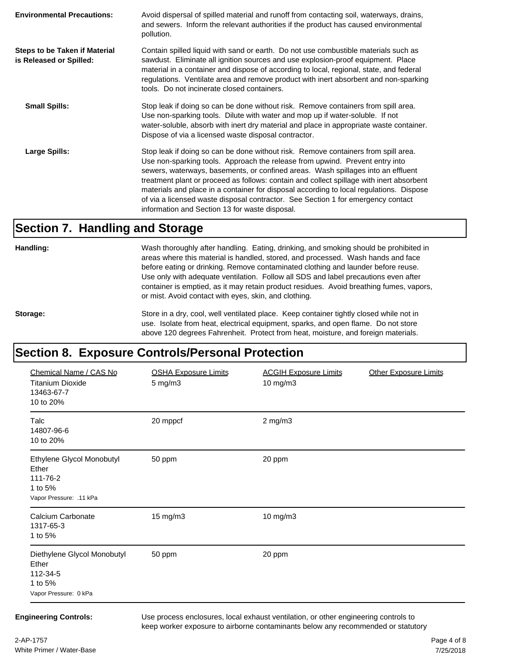| <b>Environmental Precautions:</b>                               | Avoid dispersal of spilled material and runoff from contacting soil, waterways, drains,<br>and sewers. Inform the relevant authorities if the product has caused environmental<br>pollution.                                                                                                                                                                                                                                                                                                                                                                                        |
|-----------------------------------------------------------------|-------------------------------------------------------------------------------------------------------------------------------------------------------------------------------------------------------------------------------------------------------------------------------------------------------------------------------------------------------------------------------------------------------------------------------------------------------------------------------------------------------------------------------------------------------------------------------------|
| <b>Steps to be Taken if Material</b><br>is Released or Spilled: | Contain spilled liquid with sand or earth. Do not use combustible materials such as<br>sawdust. Eliminate all ignition sources and use explosion-proof equipment. Place<br>material in a container and dispose of according to local, regional, state, and federal<br>regulations. Ventilate area and remove product with inert absorbent and non-sparking<br>tools. Do not incinerate closed containers.                                                                                                                                                                           |
| <b>Small Spills:</b>                                            | Stop leak if doing so can be done without risk. Remove containers from spill area.<br>Use non-sparking tools. Dilute with water and mop up if water-soluble. If not<br>water-soluble, absorb with inert dry material and place in appropriate waste container.<br>Dispose of via a licensed waste disposal contractor.                                                                                                                                                                                                                                                              |
| Large Spills:                                                   | Stop leak if doing so can be done without risk. Remove containers from spill area.<br>Use non-sparking tools. Approach the release from upwind. Prevent entry into<br>sewers, waterways, basements, or confined areas. Wash spillages into an effluent<br>treatment plant or proceed as follows: contain and collect spillage with inert absorbent<br>materials and place in a container for disposal according to local regulations. Dispose<br>of via a licensed waste disposal contractor. See Section 1 for emergency contact<br>information and Section 13 for waste disposal. |

#### **Section 7. Handling and Storage**

**Handling:** Wash thoroughly after handling. Eating, drinking, and smoking should be prohibited in areas where this material is handled, stored, and processed. Wash hands and face before eating or drinking. Remove contaminated clothing and launder before reuse. Use only with adequate ventilation. Follow all SDS and label precautions even after container is emptied, as it may retain product residues. Avoid breathing fumes, vapors, or mist. Avoid contact with eyes, skin, and clothing.

Storage: Store in a dry, cool, well ventilated place. Keep container tightly closed while not in use. Isolate from heat, electrical equipment, sparks, and open flame. Do not store above 120 degrees Fahrenheit. Protect from heat, moisture, and foreign materials.

## **Section 8. Exposure Controls/Personal Protection**

| Chemical Name / CAS No<br><b>Titanium Dioxide</b><br>13463-67-7<br>10 to 20%         | <b>OSHA Exposure Limits</b><br>5 mg/m3 | <b>ACGIH Exposure Limits</b><br>10 mg/m3 | <b>Other Exposure Limits</b> |
|--------------------------------------------------------------------------------------|----------------------------------------|------------------------------------------|------------------------------|
| Talc<br>14807-96-6<br>10 to 20%                                                      | 20 mppcf                               | $2$ mg/m $3$                             |                              |
| Ethylene Glycol Monobutyl<br>Ether<br>111-76-2<br>1 to 5%<br>Vapor Pressure: .11 kPa | 50 ppm                                 | 20 ppm                                   |                              |
| Calcium Carbonate<br>1317-65-3<br>1 to 5%                                            | 15 mg/m3                               | 10 mg/m3                                 |                              |
| Diethylene Glycol Monobutyl<br>Ether<br>112-34-5<br>1 to 5%<br>Vapor Pressure: 0 kPa | 50 ppm                                 | 20 ppm                                   |                              |

**Engineering Controls:** Use process enclosures, local exhaust ventilation, or other engineering controls to keep worker exposure to airborne contaminants below any recommended or statutory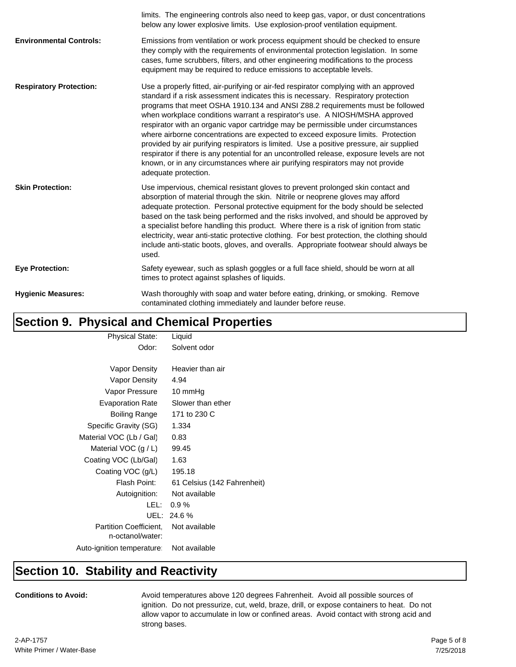|                                | limits. The engineering controls also need to keep gas, vapor, or dust concentrations<br>below any lower explosive limits. Use explosion-proof ventilation equipment.                                                                                                                                                                                                                                                                                                                                                                                                                                                                                                                                                                                                                                                 |
|--------------------------------|-----------------------------------------------------------------------------------------------------------------------------------------------------------------------------------------------------------------------------------------------------------------------------------------------------------------------------------------------------------------------------------------------------------------------------------------------------------------------------------------------------------------------------------------------------------------------------------------------------------------------------------------------------------------------------------------------------------------------------------------------------------------------------------------------------------------------|
| <b>Environmental Controls:</b> | Emissions from ventilation or work process equipment should be checked to ensure<br>they comply with the requirements of environmental protection legislation. In some<br>cases, fume scrubbers, filters, and other engineering modifications to the process<br>equipment may be required to reduce emissions to acceptable levels.                                                                                                                                                                                                                                                                                                                                                                                                                                                                                   |
| <b>Respiratory Protection:</b> | Use a properly fitted, air-purifying or air-fed respirator complying with an approved<br>standard if a risk assessment indicates this is necessary. Respiratory protection<br>programs that meet OSHA 1910.134 and ANSI Z88.2 requirements must be followed<br>when workplace conditions warrant a respirator's use. A NIOSH/MSHA approved<br>respirator with an organic vapor cartridge may be permissible under circumstances<br>where airborne concentrations are expected to exceed exposure limits. Protection<br>provided by air purifying respirators is limited. Use a positive pressure, air supplied<br>respirator if there is any potential for an uncontrolled release, exposure levels are not<br>known, or in any circumstances where air purifying respirators may not provide<br>adequate protection. |
| <b>Skin Protection:</b>        | Use impervious, chemical resistant gloves to prevent prolonged skin contact and<br>absorption of material through the skin. Nitrile or neoprene gloves may afford<br>adequate protection. Personal protective equipment for the body should be selected<br>based on the task being performed and the risks involved, and should be approved by<br>a specialist before handling this product. Where there is a risk of ignition from static<br>electricity, wear anti-static protective clothing. For best protection, the clothing should<br>include anti-static boots, gloves, and overalls. Appropriate footwear should always be<br>used.                                                                                                                                                                          |
| <b>Eye Protection:</b>         | Safety eyewear, such as splash goggles or a full face shield, should be worn at all<br>times to protect against splashes of liquids.                                                                                                                                                                                                                                                                                                                                                                                                                                                                                                                                                                                                                                                                                  |
| <b>Hygienic Measures:</b>      | Wash thoroughly with soap and water before eating, drinking, or smoking. Remove<br>contaminated clothing immediately and launder before reuse.                                                                                                                                                                                                                                                                                                                                                                                                                                                                                                                                                                                                                                                                        |

## **Section 9. Physical and Chemical Properties**

| <b>Physical State:</b>        | Liquid                      |
|-------------------------------|-----------------------------|
| Odor:                         | Solvent odor                |
|                               |                             |
| Vapor Density                 | Heavier than air            |
| Vapor Density                 | 4.94                        |
| Vapor Pressure                | 10 mmHg                     |
| <b>Evaporation Rate</b>       | Slower than ether           |
| Boiling Range                 | 171 to 230 C                |
| Specific Gravity (SG)         | 1.334                       |
| Material VOC (Lb / Gal)       | 0.83                        |
| Material VOC $(g/L)$          | 99.45                       |
| Coating VOC (Lb/Gal)          | 1.63                        |
| Coating VOC (g/L)             | 195.18                      |
| Flash Point:                  | 61 Celsius (142 Fahrenheit) |
| Autoignition:                 | Not available               |
| LEL:                          | 0.9%                        |
| UEL:                          | 24.6%                       |
| <b>Partition Coefficient.</b> | Not available               |
| n-octanol/water:              |                             |
| Auto-ignition temperature:    | Not available               |

#### **Section 10. Stability and Reactivity**

**Conditions to Avoid:** Avoid temperatures above 120 degrees Fahrenheit. Avoid all possible sources of ignition. Do not pressurize, cut, weld, braze, drill, or expose containers to heat. Do not allow vapor to accumulate in low or confined areas. Avoid contact with strong acid and strong bases.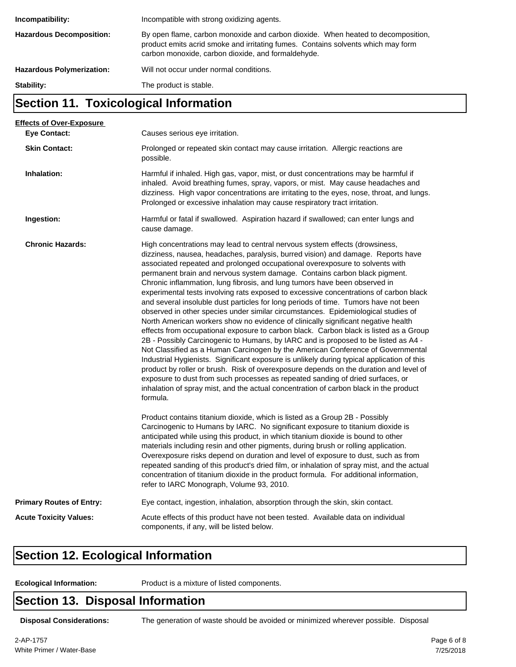| Incompatibility:                 | Incompatible with strong oxidizing agents.                                                                                                                                                                                 |
|----------------------------------|----------------------------------------------------------------------------------------------------------------------------------------------------------------------------------------------------------------------------|
| <b>Hazardous Decomposition:</b>  | By open flame, carbon monoxide and carbon dioxide. When heated to decomposition,<br>product emits acrid smoke and irritating fumes. Contains solvents which may form<br>carbon monoxide, carbon dioxide, and formaldehyde. |
| <b>Hazardous Polymerization:</b> | Will not occur under normal conditions.                                                                                                                                                                                    |
| Stability:                       | The product is stable.                                                                                                                                                                                                     |

#### **Section 11. Toxicological Information**

| <b>Effects of Over-Exposure</b> |                                                                                                                                                                                                                                                                                                                                                                                                                                                                                                                                                                                                                                                                                                                                                                                                                                                                                                                                                                                                                                                                                                                                                                                                                                                                                                                                                                                                                      |
|---------------------------------|----------------------------------------------------------------------------------------------------------------------------------------------------------------------------------------------------------------------------------------------------------------------------------------------------------------------------------------------------------------------------------------------------------------------------------------------------------------------------------------------------------------------------------------------------------------------------------------------------------------------------------------------------------------------------------------------------------------------------------------------------------------------------------------------------------------------------------------------------------------------------------------------------------------------------------------------------------------------------------------------------------------------------------------------------------------------------------------------------------------------------------------------------------------------------------------------------------------------------------------------------------------------------------------------------------------------------------------------------------------------------------------------------------------------|
| <b>Eye Contact:</b>             | Causes serious eye irritation.                                                                                                                                                                                                                                                                                                                                                                                                                                                                                                                                                                                                                                                                                                                                                                                                                                                                                                                                                                                                                                                                                                                                                                                                                                                                                                                                                                                       |
| <b>Skin Contact:</b>            | Prolonged or repeated skin contact may cause irritation. Allergic reactions are<br>possible.                                                                                                                                                                                                                                                                                                                                                                                                                                                                                                                                                                                                                                                                                                                                                                                                                                                                                                                                                                                                                                                                                                                                                                                                                                                                                                                         |
| Inhalation:                     | Harmful if inhaled. High gas, vapor, mist, or dust concentrations may be harmful if<br>inhaled. Avoid breathing fumes, spray, vapors, or mist. May cause headaches and<br>dizziness. High vapor concentrations are irritating to the eyes, nose, throat, and lungs.<br>Prolonged or excessive inhalation may cause respiratory tract irritation.                                                                                                                                                                                                                                                                                                                                                                                                                                                                                                                                                                                                                                                                                                                                                                                                                                                                                                                                                                                                                                                                     |
| Ingestion:                      | Harmful or fatal if swallowed. Aspiration hazard if swallowed; can enter lungs and<br>cause damage.                                                                                                                                                                                                                                                                                                                                                                                                                                                                                                                                                                                                                                                                                                                                                                                                                                                                                                                                                                                                                                                                                                                                                                                                                                                                                                                  |
| <b>Chronic Hazards:</b>         | High concentrations may lead to central nervous system effects (drowsiness,<br>dizziness, nausea, headaches, paralysis, burred vision) and damage. Reports have<br>associated repeated and prolonged occupational overexposure to solvents with<br>permanent brain and nervous system damage. Contains carbon black pigment.<br>Chronic inflammation, lung fibrosis, and lung tumors have been observed in<br>experimental tests involving rats exposed to excessive concentrations of carbon black<br>and several insoluble dust particles for long periods of time. Tumors have not been<br>observed in other species under similar circumstances. Epidemiological studies of<br>North American workers show no evidence of clinically significant negative health<br>effects from occupational exposure to carbon black. Carbon black is listed as a Group<br>2B - Possibly Carcinogenic to Humans, by IARC and is proposed to be listed as A4 -<br>Not Classified as a Human Carcinogen by the American Conference of Governmental<br>Industrial Hygienists. Significant exposure is unlikely during typical application of this<br>product by roller or brush. Risk of overexposure depends on the duration and level of<br>exposure to dust from such processes as repeated sanding of dried surfaces, or<br>inhalation of spray mist, and the actual concentration of carbon black in the product<br>formula. |
|                                 | Product contains titanium dioxide, which is listed as a Group 2B - Possibly<br>Carcinogenic to Humans by IARC. No significant exposure to titanium dioxide is<br>anticipated while using this product, in which titanium dioxide is bound to other<br>materials including resin and other pigments, during brush or rolling application.<br>Overexposure risks depend on duration and level of exposure to dust, such as from<br>repeated sanding of this product's dried film, or inhalation of spray mist, and the actual<br>concentration of titanium dioxide in the product formula. For additional information,<br>refer to IARC Monograph, Volume 93, 2010.                                                                                                                                                                                                                                                                                                                                                                                                                                                                                                                                                                                                                                                                                                                                                    |
| <b>Primary Routes of Entry:</b> | Eye contact, ingestion, inhalation, absorption through the skin, skin contact.                                                                                                                                                                                                                                                                                                                                                                                                                                                                                                                                                                                                                                                                                                                                                                                                                                                                                                                                                                                                                                                                                                                                                                                                                                                                                                                                       |
| <b>Acute Toxicity Values:</b>   | Acute effects of this product have not been tested. Available data on individual<br>components, if any, will be listed below.                                                                                                                                                                                                                                                                                                                                                                                                                                                                                                                                                                                                                                                                                                                                                                                                                                                                                                                                                                                                                                                                                                                                                                                                                                                                                        |

#### **Section 12. Ecological Information**

**Ecological Information:** Product is a mixture of listed components.

#### **Section 13. Disposal Information**

**Disposal Considerations:** The generation of waste should be avoided or minimized wherever possible. Disposal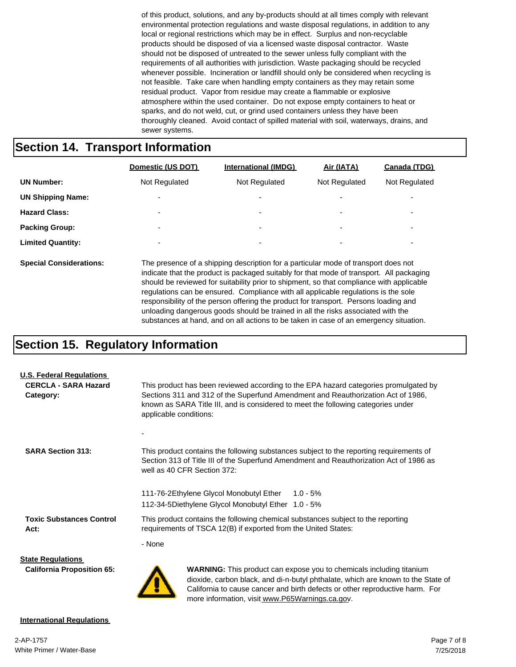of this product, solutions, and any by-products should at all times comply with relevant environmental protection regulations and waste disposal regulations, in addition to any local or regional restrictions which may be in effect. Surplus and non-recyclable products should be disposed of via a licensed waste disposal contractor. Waste should not be disposed of untreated to the sewer unless fully compliant with the requirements of all authorities with jurisdiction. Waste packaging should be recycled whenever possible. Incineration or landfill should only be considered when recycling is not feasible. Take care when handling empty containers as they may retain some residual product. Vapor from residue may create a flammable or explosive atmosphere within the used container. Do not expose empty containers to heat or sparks, and do not weld, cut, or grind used containers unless they have been thoroughly cleaned. Avoid contact of spilled material with soil, waterways, drains, and sewer systems.

#### **Section 14. Transport Information**

|                                | Domestic (US DOT)                                                                  | <b>International (IMDG)</b> | Air (IATA)               | Canada (TDG)             |
|--------------------------------|------------------------------------------------------------------------------------|-----------------------------|--------------------------|--------------------------|
| <b>UN Number:</b>              | Not Regulated                                                                      | Not Regulated               | Not Regulated            | Not Regulated            |
| <b>UN Shipping Name:</b>       |                                                                                    | $\overline{\phantom{0}}$    |                          |                          |
| <b>Hazard Class:</b>           | $\overline{\phantom{0}}$                                                           | ۰                           | $\overline{\phantom{0}}$ | $\overline{\phantom{0}}$ |
| <b>Packing Group:</b>          | -                                                                                  | ۰                           | $\overline{\phantom{0}}$ | $\overline{\phantom{0}}$ |
| <b>Limited Quantity:</b>       |                                                                                    | ۰                           | -                        | $\overline{\phantom{0}}$ |
| <b>Special Considerations:</b> | The presence of a shipping description for a particular mode of transport does not |                             |                          |                          |

indicate that the product is packaged suitably for that mode of transport. All packaging should be reviewed for suitability prior to shipment, so that compliance with applicable regulations can be ensured. Compliance with all applicable regulations is the sole responsibility of the person offering the product for transport. Persons loading and unloading dangerous goods should be trained in all the risks associated with the substances at hand, and on all actions to be taken in case of an emergency situation.

California to cause cancer and birth defects or other reproductive harm. For

more information, visit www.P65Warnings.ca.gov.

#### **Section 15. Regulatory Information**

| <b>U.S. Federal Regulations</b>          |                                                                                                                                                                                                                                                                                         |  |  |  |  |
|------------------------------------------|-----------------------------------------------------------------------------------------------------------------------------------------------------------------------------------------------------------------------------------------------------------------------------------------|--|--|--|--|
| <b>CERCLA - SARA Hazard</b><br>Category: | This product has been reviewed according to the EPA hazard categories promulgated by<br>Sections 311 and 312 of the Superfund Amendment and Reauthorization Act of 1986,<br>known as SARA Title III, and is considered to meet the following categories under<br>applicable conditions: |  |  |  |  |
|                                          |                                                                                                                                                                                                                                                                                         |  |  |  |  |
| <b>SARA Section 313:</b>                 | This product contains the following substances subject to the reporting requirements of<br>Section 313 of Title III of the Superfund Amendment and Reauthorization Act of 1986 as<br>well as 40 CFR Section 372:                                                                        |  |  |  |  |
|                                          | 111-76-2 Ethylene Glycol Monobutyl Ether 1.0 - 5%<br>112-34-5 Diethylene Glycol Monobutyl Ether 1.0 - 5%                                                                                                                                                                                |  |  |  |  |
| <b>Toxic Substances Control</b><br>Act:  | This product contains the following chemical substances subject to the reporting<br>requirements of TSCA 12(B) if exported from the United States:                                                                                                                                      |  |  |  |  |
|                                          | - None                                                                                                                                                                                                                                                                                  |  |  |  |  |
| <b>State Regulations</b>                 |                                                                                                                                                                                                                                                                                         |  |  |  |  |
| <b>California Proposition 65:</b>        | <b>WARNING:</b> This product can expose you to chemicals including titanium<br>dioxide, carbon black, and di-n-butyl phthalate, which are known to the State of                                                                                                                         |  |  |  |  |

#### **International Regulations**